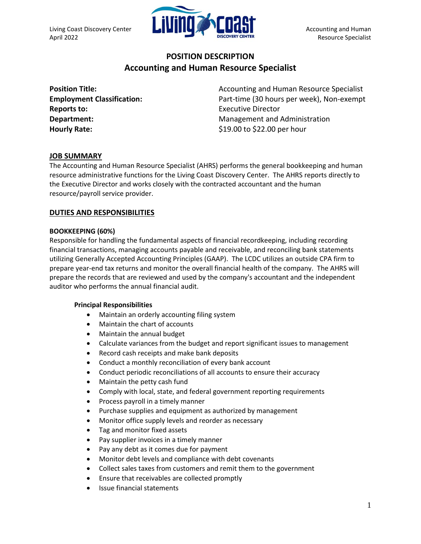

# **POSITION DESCRIPTION Accounting and Human Resource Specialist**

| <b>Position Title:</b>            |
|-----------------------------------|
| <b>Employment Classification:</b> |
| <b>Reports to:</b>                |
| Department:                       |
| <b>Hourly Rate:</b>               |

**Position Title:** Accounting and Human Resource Specialist Part-time (30 hours per week), Non-exempt **Executive Director Department:** Management and Administration \$19.00 to \$22.00 per hour

# **JOB SUMMARY**

The Accounting and Human Resource Specialist (AHRS) performs the general bookkeeping and human resource administrative functions for the Living Coast Discovery Center. The AHRS reports directly to the Executive Director and works closely with the contracted accountant and the human resource/payroll service provider.

## **DUTIES AND RESPONSIBILITIES**

#### **BOOKKEEPING (60%)**

Responsible for handling the fundamental aspects of financial recordkeeping, including recording financial transactions, managing accounts payable and receivable, and reconciling bank statements utilizing Generally Accepted Accounting Principles (GAAP). The LCDC utilizes an outside CPA firm to prepare year-end tax returns and monitor the overall financial health of the company. The AHRS will prepare the records that are reviewed and used by the company's accountant and the independent auditor who performs the annual financial audit.

#### **Principal Responsibilities**

- Maintain an orderly accounting filing system
- Maintain the [chart of accounts](http://www.accountingtools.com/chart-of-accounts-overview)
- Maintain the annual [budget](http://www.accountingtools.com/dictionary-budget)
- Calculate variances from the budget and report significant issues to management
- Record cash receipts and make bank deposits
- Conduct a monthly [reconciliation](http://www.accountingtools.com/bank-reconciliation-procedure) of every bank account
- Conduct periodic reconciliations of all accounts to ensure their accuracy
- Maintain the [petty cash](http://www.accountingtools.com/procedure-petty-cash) fund
- Comply with local, state, and federal government reporting requirements
- Process payroll in a timely manner
- Purchase supplies and equipment as authorized by management
- Monitor office supply levels and reorder as necessary
- Tag and monitor [fixed assets](http://www.accountingtools.com/definition-fixed-asset)
- Pay supplier invoices in a timely manner
- Pay any [debt](http://www.accountingtools.com/definition-debt) as it comes due for payment
- Monitor debt levels and compliance with debt [covenants](http://www.accountingtools.com/covenant-definition)
- Collect sales taxes from customers and remit them to the government
- Ensure that [receivables](http://www.accountingtools.com/definition-accounts-receivable) are collected promptly
- Issue [financial statements](http://www.accountingtools.com/definition-financial-statemen)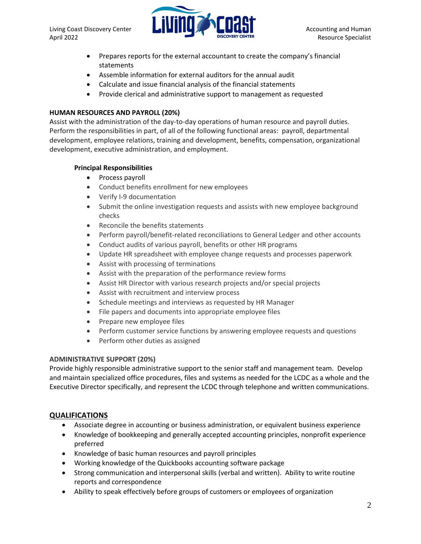

- Prepares reports for the external accountant to create the company's financial statements
- Assemble information for external auditors for the annual [audit](http://www.accountingtools.com/definition-audit)
- Calculate and issue financial analysis of the financial statements
- Provide clerical and administrative support to management as requested

#### **HUMAN RESOURCES AND PAYROLL (20%)**

Assist with the administration of the day-to-day operations of human resource and payroll duties. Perform the responsibilities in part, of all of the following functional areas: payroll, departmental development, employee relations, training and development, benefits, compensation, organizational development, executive administration, and employment.

#### **Principal Responsibilities**

- Process payroll
- Conduct benefits enrollment for new employees
- Verify I-9 documentation
- Submit the online investigation requests and assists with new employee background checks
- Reconcile the benefits statements
- Perform payroll/benefit-related reconciliations to General Ledger and other accounts
- Conduct audits of various payroll, benefits or other HR programs
- Update HR spreadsheet with employee change requests and processes paperwork
- Assist with processing of terminations
- Assist with the preparation of the performance review forms
- Assist HR Director with various research projects and/or special projects
- Assist with recruitment and interview process
- Schedule meetings and interviews as requested by HR Manager
- File papers and documents into appropriate employee files
- Prepare new employee files
- Perform customer service functions by answering employee requests and questions
- Perform other duties as assigned

## **ADMINISTRATIVE SUPPORT (20%)**

Provide highly responsible administrative support to the senior staff and management team. Develop and maintain specialized office procedures, files and systems as needed for the LCDC as a whole and the Executive Director specifically, and represent the LCDC through telephone and written communications.

## **QUALIFICATIONS**

- Associate degree in accounting or business administration, or equivalent business experience
- Knowledge of bookkeeping and generally accepted accounting principles, nonprofit experience preferred
- Knowledge of basic human resources and payroll principles
- Working knowledge of the Quickbooks accounting software package
- Strong communication and interpersonal skills (verbal and written). Ability to write routine reports and correspondence
- Ability to speak effectively before groups of customers or employees of organization